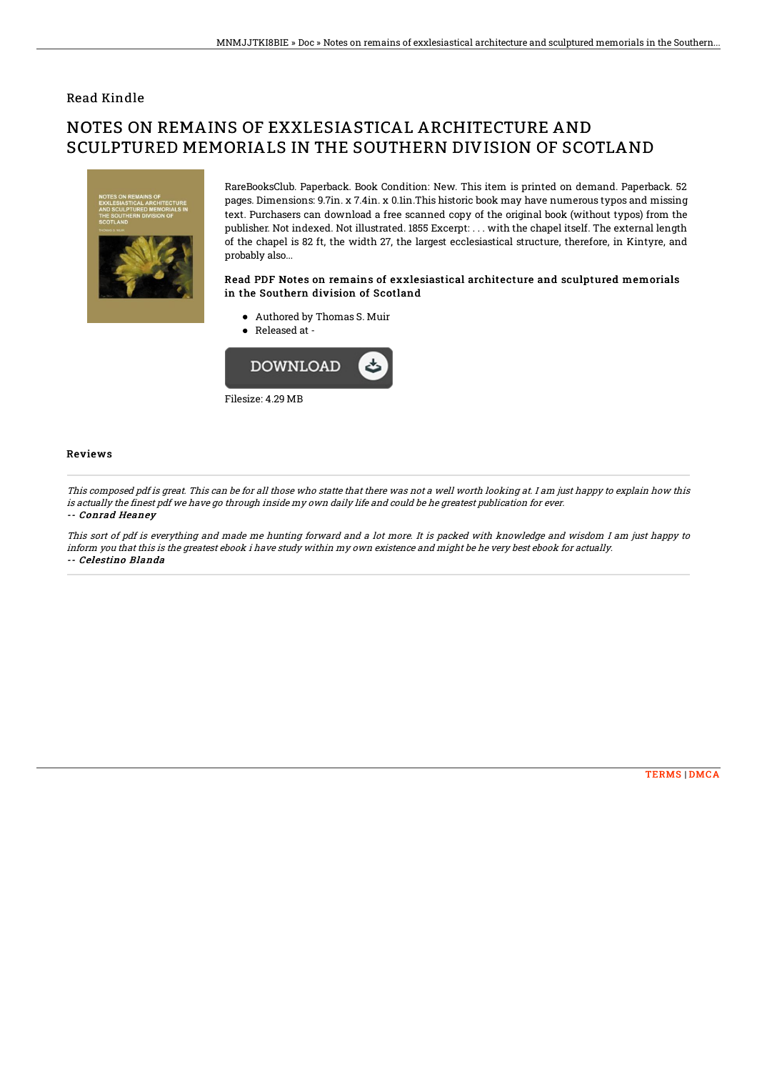### Read Kindle

# NOTES ON REMAINS OF EXXLESIASTICAL ARCHITECTURE AND SCULPTURED MEMORIALS IN THE SOUTHERN DIVISION OF SCOTLAND



RareBooksClub. Paperback. Book Condition: New. This item is printed on demand. Paperback. 52 pages. Dimensions: 9.7in. x 7.4in. x 0.1in.This historic book may have numerous typos and missing text. Purchasers can download a free scanned copy of the original book (without typos) from the publisher. Not indexed. Not illustrated. 1855 Excerpt: . . . with the chapel itself. The external length of the chapel is 82 ft, the width 27, the largest ecclesiastical structure, therefore, in Kintyre, and probably also...

#### Read PDF Notes on remains of exxlesiastical architecture and sculptured memorials in the Southern division of Scotland

- Authored by Thomas S. Muir
- Released at -



#### Reviews

This composed pdf is great. This can be for all those who statte that there was not <sup>a</sup> well worth looking at. I am just happy to explain how this is actually the finest pdf we have go through inside my own daily life and could be he greatest publication for ever. -- Conrad Heaney

This sort of pdf is everything and made me hunting forward and <sup>a</sup> lot more. It is packed with knowledge and wisdom I am just happy to inform you that this is the greatest ebook i have study within my own existence and might be he very best ebook for actually. -- Celestino Blanda